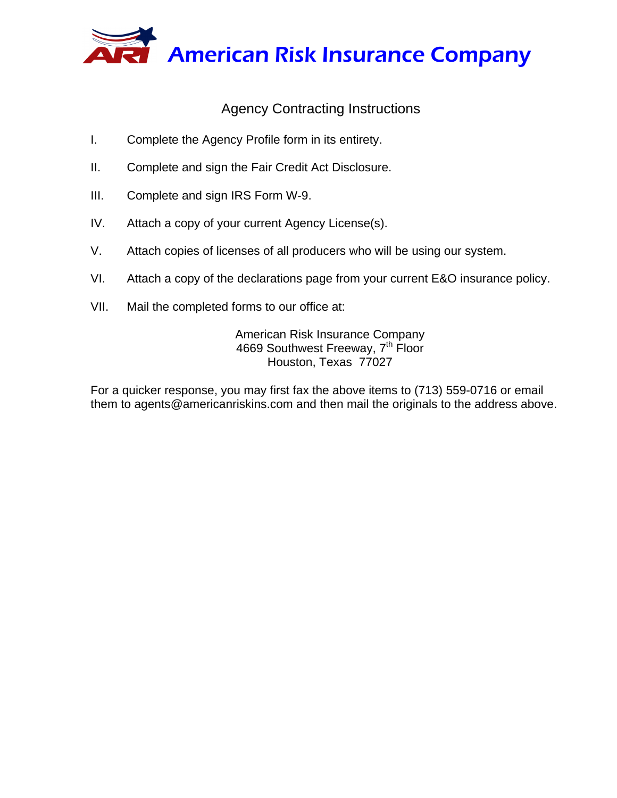

# Agency Contracting Instructions

- I. Complete the Agency Profile form in its entirety.
- II. Complete and sign the Fair Credit Act Disclosure.
- III. Complete and sign IRS Form W-9.
- IV. Attach a copy of your current Agency License(s).
- V. Attach copies of licenses of all producers who will be using our system.
- VI. Attach a copy of the declarations page from your current E&O insurance policy.
- VII. Mail the completed forms to our office at:

American Risk Insurance Company 4669 Southwest Freeway, 7<sup>th</sup> Floor Houston, Texas 77027

For a quicker response, you may first fax the above items to (713) 559-0716 or email them to agents@americanriskins.com and then mail the originals to the address above.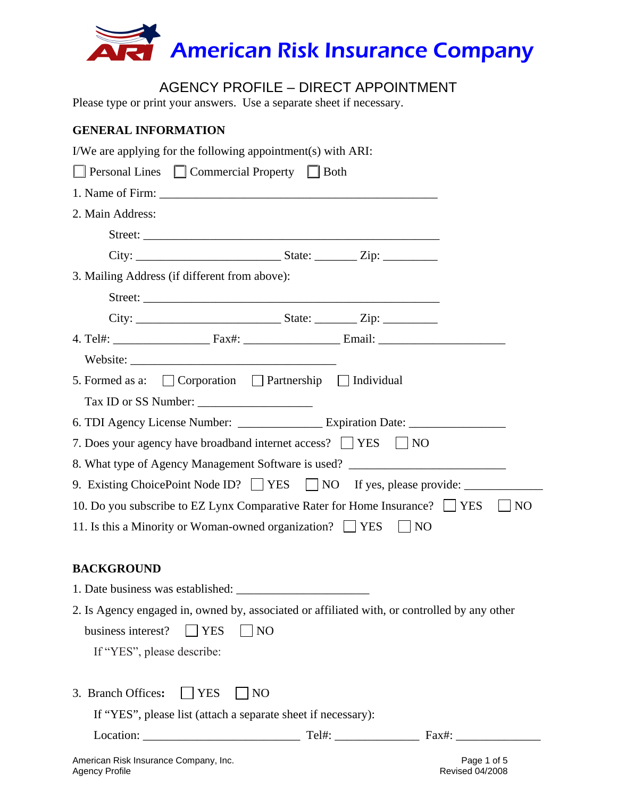

# AGENCY PROFILE – DIRECT APPOINTMENT

Please type or print your answers. Use a separate sheet if necessary.

### **GENERAL INFORMATION**

| I/We are applying for the following appointment(s) with ARI:                                 |
|----------------------------------------------------------------------------------------------|
| <b>Personal Lines</b> Commercial Property Both                                               |
|                                                                                              |
| 2. Main Address:                                                                             |
|                                                                                              |
|                                                                                              |
| 3. Mailing Address (if different from above):                                                |
|                                                                                              |
|                                                                                              |
|                                                                                              |
|                                                                                              |
| 5. Formed as a: $\Box$ Corporation $\Box$ Partnership $\Box$ Individual                      |
|                                                                                              |
| 6. TDI Agency License Number: Expiration Date: __________________________________            |
| 7. Does your agency have broadband internet access? TVES<br>$\vert$   NO                     |
| 8. What type of Agency Management Software is used? ____________________________             |
| 9. Existing ChoicePoint Node ID? TYES NO If yes, please provide:                             |
| 10. Do you subscribe to EZ Lynx Comparative Rater for Home Insurance? TES<br>$\vert$ NO      |
| 11. Is this a Minority or Woman-owned organization? $\Box$ YES<br>$\vert$   NO               |
|                                                                                              |
| <b>BACKGROUND</b>                                                                            |
| 1. Date business was established:                                                            |
| 2. Is Agency engaged in, owned by, associated or affiliated with, or controlled by any other |
| $\Box$ YES<br>business interest?<br>NO                                                       |
| If "YES", please describe:                                                                   |
|                                                                                              |
| 3. Branch Offices:<br><b>YES</b><br>N <sub>O</sub>                                           |
| If "YES", please list (attach a separate sheet if necessary):                                |
|                                                                                              |
| American Risk Insurance Company, Inc.<br>Page 1 of 5                                         |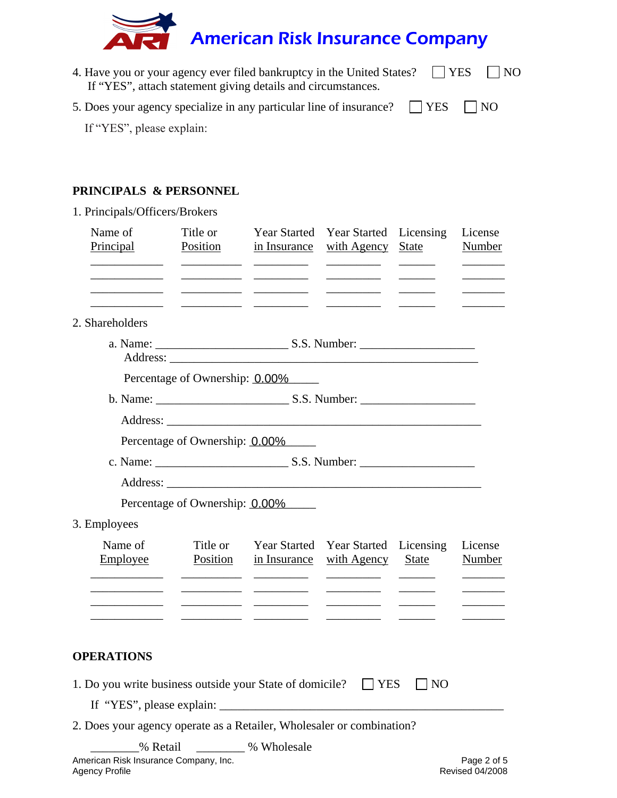

| 4. Have you or your agency ever filed bankruptcy in the United States? $\Box$ YES $\Box$ NO |  |
|---------------------------------------------------------------------------------------------|--|
| If "YES", attach statement giving details and circumstances.                                |  |
| 5. Does your agency specialize in any particular line of insurance? $\Box$ YES $\Box$ NO    |  |

If "YES", please explain:

### **PRINCIPALS & PERSONNEL**

1. Principals/Officers/Brokers Name of Title or Year Started Year Started Licensing License Principal Position in Insurance with Agency State Number \_\_\_\_\_\_\_\_\_\_\_\_ \_\_\_\_\_\_\_\_\_\_ \_\_\_\_\_\_\_\_\_ \_\_\_\_\_\_\_\_\_ \_\_\_\_\_\_ \_\_\_\_\_\_\_ \_\_\_\_\_\_\_\_\_\_\_\_ \_\_\_\_\_\_\_\_\_\_ \_\_\_\_\_\_\_\_\_ \_\_\_\_\_\_\_\_\_ \_\_\_\_\_\_ \_\_\_\_\_\_\_ \_\_\_\_\_\_\_\_\_\_\_\_ \_\_\_\_\_\_\_\_\_\_ \_\_\_\_\_\_\_\_\_ \_\_\_\_\_\_\_\_\_ \_\_\_\_\_\_ \_\_\_\_\_\_\_  $\frac{1}{2}$  ,  $\frac{1}{2}$  ,  $\frac{1}{2}$  ,  $\frac{1}{2}$  ,  $\frac{1}{2}$  ,  $\frac{1}{2}$  ,  $\frac{1}{2}$  ,  $\frac{1}{2}$  ,  $\frac{1}{2}$  ,  $\frac{1}{2}$  ,  $\frac{1}{2}$ 2. Shareholders a. Name: \_\_\_\_\_\_\_\_\_\_\_\_\_\_\_\_\_\_\_\_\_\_ S.S. Number: \_\_\_\_\_\_\_\_\_\_\_\_\_\_\_\_\_\_\_ Address: Percentage of Ownership: 0.00% b. Name: \_\_\_\_\_\_\_\_\_\_\_\_\_\_\_\_\_\_\_\_\_\_ S.S. Number: \_\_\_\_\_\_\_\_\_\_\_\_\_\_\_\_\_\_\_ Address: Percentage of Ownership: 0.00% c. Name: \_\_\_\_\_\_\_\_\_\_\_\_\_\_\_\_\_\_\_\_\_\_ S.S. Number: \_\_\_\_\_\_\_\_\_\_\_\_\_\_\_\_\_\_\_ Address: Percentage of Ownership: 0.00% 3. Employees Name of Title or Year Started Year Started Licensing License Employee **Position** in Insurance with Agency State Number \_\_\_\_\_\_\_\_\_\_\_\_ \_\_\_\_\_\_\_\_\_\_ \_\_\_\_\_\_\_\_\_ \_\_\_\_\_\_\_\_\_ \_\_\_\_\_\_ \_\_\_\_\_\_\_ \_\_\_\_\_\_\_\_\_\_\_\_ \_\_\_\_\_\_\_\_\_\_ \_\_\_\_\_\_\_\_\_ \_\_\_\_\_\_\_\_\_ \_\_\_\_\_\_ \_\_\_\_\_\_\_ \_\_\_\_\_\_\_\_\_\_\_\_ \_\_\_\_\_\_\_\_\_\_ \_\_\_\_\_\_\_\_\_ \_\_\_\_\_\_\_\_\_ \_\_\_\_\_\_ \_\_\_\_\_\_\_ \_\_\_\_\_\_\_\_\_\_\_\_ \_\_\_\_\_\_\_\_\_\_ \_\_\_\_\_\_\_\_\_ \_\_\_\_\_\_\_\_\_ \_\_\_\_\_\_ \_\_\_\_\_\_\_ **OPERATIONS**  1. Do you write business outside your State of domicile?  $\Box$  YES  $\Box$  NO If "YES", please explain:

2. Does your agency operate as a Retailer, Wholesaler or combination?

% Retail  $\%$  Wholesale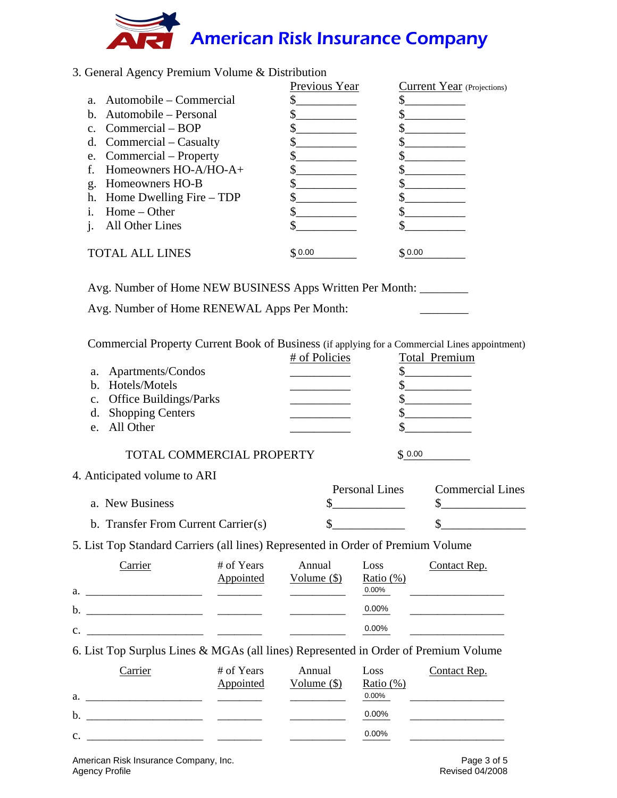# American Risk Insurance Company

### 3. General Agency Premium Volume & Distribution

|    |                             | Previous Year | Current Year (Projections) |
|----|-----------------------------|---------------|----------------------------|
|    | a. Automobile – Commercial  |               |                            |
|    | b. Automobile – Personal    |               |                            |
|    | c. Commercial $-$ BOP       |               |                            |
|    | d. Commercial $-$ Casualty  |               |                            |
|    | e. Commercial – Property    |               |                            |
|    | Homeowners $HO-A/HO-A+$     |               |                            |
| g. | Homeowners HO-B             |               |                            |
|    | h. Home Dwelling Fire – TDP |               |                            |
|    | Home – Other                |               |                            |
|    | All Other Lines             |               |                            |
|    | <b>TOTAL ALL LINES</b>      | \$0.00        | \$0.00                     |

Avg. Number of Home NEW BUSINESS Apps Written Per Month: \_\_\_\_\_\_\_\_

Avg. Number of Home RENEWAL Apps Per Month:

Commercial Property Current Book of Business (if applying for a Commercial Lines appointment)

|                                                                                  | # of Policies         |        | Total Premium           |
|----------------------------------------------------------------------------------|-----------------------|--------|-------------------------|
| Apartments/Condos<br>a.                                                          |                       |        |                         |
| b. Hotels/Motels                                                                 |                       |        |                         |
| c. Office Buildings/Parks                                                        |                       |        |                         |
| <b>Shopping Centers</b><br>d.                                                    |                       |        |                         |
| All Other<br>$e_{-}$                                                             |                       |        |                         |
| TOTAL COMMERCIAL PROPERTY<br>4. Anticipated volume to ARI<br>a. New Business     | <b>Personal Lines</b> | \$0.00 | <b>Commercial Lines</b> |
| b. Transfer From Current Carrier(s)                                              |                       |        |                         |
| 5. List Top Standard Carriers (all lines) Represented in Order of Premium Volume |                       |        |                         |

|    | Carrier | # of Years | Annual        | Loss         | Contact Rep. |
|----|---------|------------|---------------|--------------|--------------|
|    |         | Appointed  | Volume $(\$)$ | Ratio $(\%)$ |              |
| a. |         |            |               | 0.00%        |              |
| b. |         |            |               | 0.00%        |              |
| c. |         |            |               | $0.00\%$     |              |

6. List Top Surplus Lines & MGAs (all lines) Represented in Order of Premium Volume

| Carrier        | # of Years | Annual        | Loss      | Contact Rep. |
|----------------|------------|---------------|-----------|--------------|
|                | Appointed  | Volume $(\$)$ | Ratio (%) |              |
| a.             |            |               | 0.00%     |              |
| b.             |            |               | 0.00%     |              |
| $\mathbf{c}$ . |            |               | 0.00%     |              |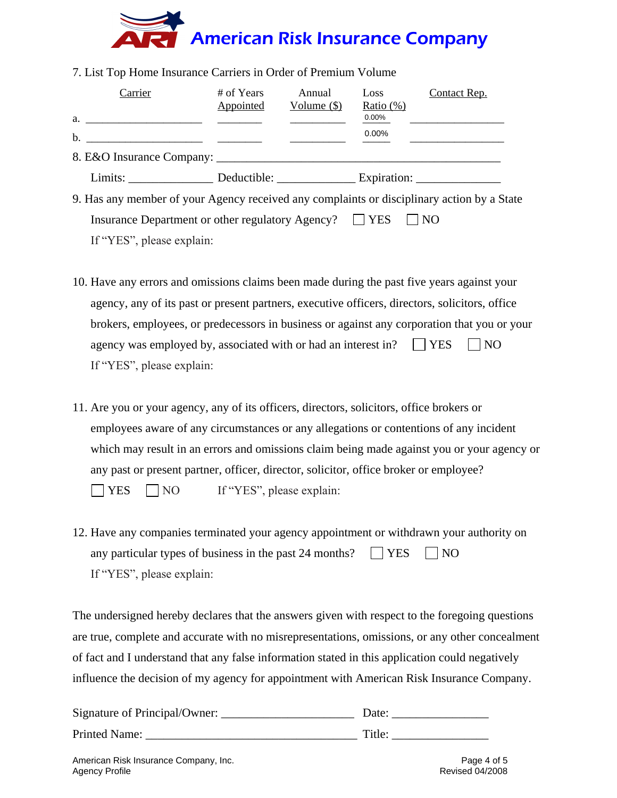# American Risk Insurance Company

| Carrier                                                                                                                                                                                                                                    | # of Years<br>Appointed | Annual<br>Volume $(\$)$ | Loss<br>Ratio $(\%)$ | <b>Contact Rep.</b> |
|--------------------------------------------------------------------------------------------------------------------------------------------------------------------------------------------------------------------------------------------|-------------------------|-------------------------|----------------------|---------------------|
| a.                                                                                                                                                                                                                                         |                         |                         | $0.00\%$             |                     |
| b.<br><u> 1989 - Andrea Aonaich, ann an t-Aonaich an t-Aonaich ann an t-Aonaich ann an t-Aonaich ann an t-Aonaich ann an t-Aonaich ann an t-Aonaich ann an t-Aonaich ann an t-Aonaich ann an t-Aonaich ann an t-Aonaich ann an t-Aonai</u> |                         |                         | 0.00%                |                     |
|                                                                                                                                                                                                                                            |                         |                         |                      |                     |
|                                                                                                                                                                                                                                            | Deductible:             |                         |                      |                     |

7. List Top Home Insurance Carriers in Order of Premium Volume

9. Has any member of your Agency received any complaints or disciplinary action by a State Insurance Department or other regulatory Agency?  $\Box$  YES  $\Box$  NO If "YES", please explain:

- 10. Have any errors and omissions claims been made during the past five years against your agency, any of its past or present partners, executive officers, directors, solicitors, office brokers, employees, or predecessors in business or against any corporation that you or your agency was employed by, associated with or had an interest in?  $\Box$  YES  $\Box$  NO If "YES", please explain:
- 11. Are you or your agency, any of its officers, directors, solicitors, office brokers or employees aware of any circumstances or any allegations or contentions of any incident which may result in an errors and omissions claim being made against you or your agency or any past or present partner, officer, director, solicitor, office broker or employee?  $\Box$  YES  $\Box$  NO If "YES", please explain:
- 12. Have any companies terminated your agency appointment or withdrawn your authority on any particular types of business in the past 24 months?  $\vert$   $\vert$  YES  $\vert$  NO If "YES", please explain:

The undersigned hereby declares that the answers given with respect to the foregoing questions are true, complete and accurate with no misrepresentations, omissions, or any other concealment of fact and I understand that any false information stated in this application could negatively influence the decision of my agency for appointment with American Risk Insurance Company.

| Signature of Principal/Owner: | Date:  |
|-------------------------------|--------|
| Printed Name:                 | Title: |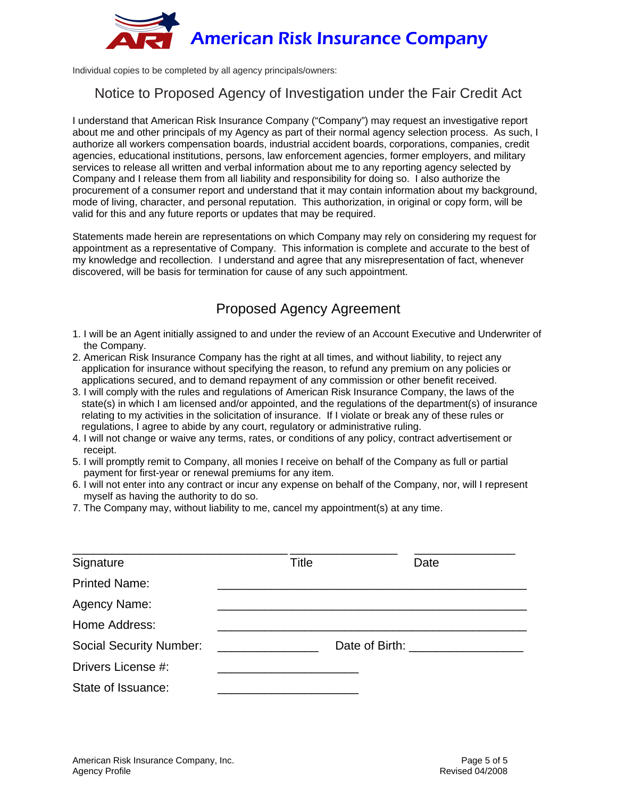

Individual copies to be completed by all agency principals/owners:

### Notice to Proposed Agency of Investigation under the Fair Credit Act

I understand that American Risk Insurance Company ("Company") may request an investigative report about me and other principals of my Agency as part of their normal agency selection process. As such, I authorize all workers compensation boards, industrial accident boards, corporations, companies, credit agencies, educational institutions, persons, law enforcement agencies, former employers, and military services to release all written and verbal information about me to any reporting agency selected by Company and I release them from all liability and responsibility for doing so. I also authorize the procurement of a consumer report and understand that it may contain information about my background, mode of living, character, and personal reputation. This authorization, in original or copy form, will be valid for this and any future reports or updates that may be required.

Statements made herein are representations on which Company may rely on considering my request for appointment as a representative of Company. This information is complete and accurate to the best of my knowledge and recollection. I understand and agree that any misrepresentation of fact, whenever discovered, will be basis for termination for cause of any such appointment.

# Proposed Agency Agreement

- 1. I will be an Agent initially assigned to and under the review of an Account Executive and Underwriter of the Company.
- 2. American Risk Insurance Company has the right at all times, and without liability, to reject any application for insurance without specifying the reason, to refund any premium on any policies or applications secured, and to demand repayment of any commission or other benefit received.
- 3. I will comply with the rules and regulations of American Risk Insurance Company, the laws of the state(s) in which I am licensed and/or appointed, and the regulations of the department(s) of insurance relating to my activities in the solicitation of insurance. If I violate or break any of these rules or regulations, I agree to abide by any court, regulatory or administrative ruling.
- 4. I will not change or waive any terms, rates, or conditions of any policy, contract advertisement or receipt.
- 5. I will promptly remit to Company, all monies I receive on behalf of the Company as full or partial payment for first-year or renewal premiums for any item.
- 6. I will not enter into any contract or incur any expense on behalf of the Company, nor, will I represent myself as having the authority to do so.
- 7. The Company may, without liability to me, cancel my appointment(s) at any time.

| Signature                      | Title |                | Date |
|--------------------------------|-------|----------------|------|
| <b>Printed Name:</b>           |       |                |      |
| Agency Name:                   |       |                |      |
| Home Address:                  |       |                |      |
| <b>Social Security Number:</b> |       | Date of Birth: |      |
| Drivers License #:             |       |                |      |
| State of Issuance:             |       |                |      |